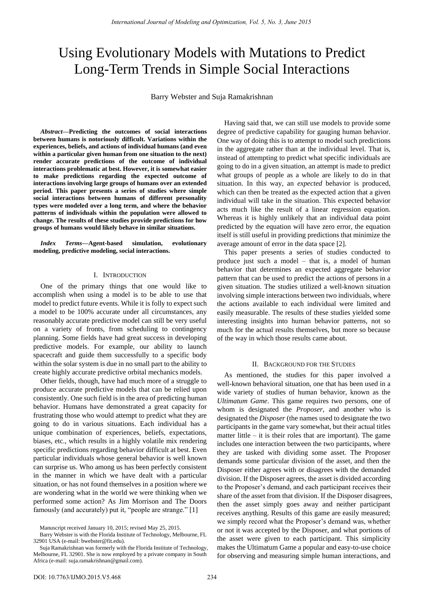# Using Evolutionary Models with Mutations to Predict Long-Term Trends in Simple Social Interactions

Barry Webster and Suja Ramakrishnan

*Abstract***—Predicting the outcomes of social interactions between humans is notoriously difficult. Variations within the experiences, beliefs, and actions of individual humans (and even within a particular given human from one situation to the next) render accurate predictions of the outcome of individual interactions problematic at best. However, it is somewhat easier to make predictions regarding the expected outcome of interactions involving large groups of humans over an extended period. This paper presents a series of studies where simple social interactions between humans of different personality types were modeled over a long term, and where the behavior patterns of individuals within the population were allowed to change. The results of these studies provide predictions for how groups of humans would likely behave in similar situations.** 

*Index Terms***—Agent-based simulation, evolutionary modeling, predictive modeling, social interactions.** 

#### I. INTRODUCTION

One of the primary things that one would like to accomplish when using a model is to be able to use that model to predict future events. While it is folly to expect such a model to be 100% accurate under all circumstances, any reasonably accurate predictive model can still be very useful on a variety of fronts, from scheduling to contingency planning. Some fields have had great success in developing predictive models. For example, our ability to launch spacecraft and guide them successfully to a specific body within the solar system is due in no small part to the ability to create highly accurate predictive orbital mechanics models.

Other fields, though, have had much more of a struggle to produce accurate predictive models that can be relied upon consistently. One such field is in the area of predicting human behavior. Humans have demonstrated a great capacity for frustrating those who would attempt to predict what they are going to do in various situations. Each individual has a unique combination of experiences, beliefs, expectations, biases, etc., which results in a highly volatile mix rendering specific predictions regarding behavior difficult at best. Even particular individuals whose general behavior is well known can surprise us. Who among us has been perfectly consistent in the manner in which we have dealt with a particular situation, or has not found themselves in a position where we are wondering what in the world we were thinking when we performed some action? As Jim Morrison and The Doors famously (and accurately) put it, "people are strange." [1]

Having said that, we can still use models to provide some degree of predictive capability for gauging human behavior. One way of doing this is to attempt to model such predictions in the aggregate rather than at the individual level. That is, instead of attempting to predict what specific individuals are going to do in a given situation, an attempt is made to predict what groups of people as a whole are likely to do in that situation. In this way, an *expected* behavior is produced, which can then be treated as the expected action that a given individual will take in the situation. This expected behavior acts much like the result of a linear regression equation. Whereas it is highly unlikely that an individual data point predicted by the equation will have zero error, the equation itself is still useful in providing predictions that minimize the average amount of error in the data space [2].

This paper presents a series of studies conducted to produce just such a model – that is, a model of human behavior that determines an expected aggregate behavior pattern that can be used to predict the actions of persons in a given situation. The studies utilized a well-known situation involving simple interactions between two individuals, where the actions available to each individual were limited and easily measurable. The results of these studies yielded some interesting insights into human behavior patterns, not so much for the actual results themselves, but more so because of the way in which those results came about.

#### II. BACKGROUND FOR THE STUDIES

As mentioned, the studies for this paper involved a well-known behavioral situation, one that has been used in a wide variety of studies of human behavior, known as the *Ultimatum Game*. This game requires two persons, one of whom is designated the *Proposer*, and another who is designated the *Disposer* (the names used to designate the two participants in the game vary somewhat, but their actual titles matter little  $-$  it is their roles that are important). The game includes one interaction between the two participants, where they are tasked with dividing some asset. The Proposer demands some particular division of the asset, and then the Disposer either agrees with or disagrees with the demanded division. If the Disposer agrees, the asset is divided according to the Proposer's demand, and each participant receives their share of the asset from that division. If the Disposer disagrees, then the asset simply goes away and neither participant receives anything. Results of this game are easily measured; we simply record what the Proposer's demand was, whether or not it was accepted by the Disposer, and what portions of the asset were given to each participant. This simplicity makes the Ultimatum Game a popular and easy-to-use choice for observing and measuring simple human interactions, and

Manuscript received January 10, 2015; revised May 25, 2015.

Barry Webster is with the Florida Institute of Technology, Melbourne, FL 32901 USA (e-mail[: bwebster@fit.edu\)](mailto:bwebster@fit.edu).

Suja Ramakrishnan was formerly with the Florida Institute of Technology, Melbourne, FL 32901. She is now employed by a private company in South Africa (e-mail[: suja.ramakrishnan@gmail.com\)](mailto:suja.ramakrishnan@gmail.com).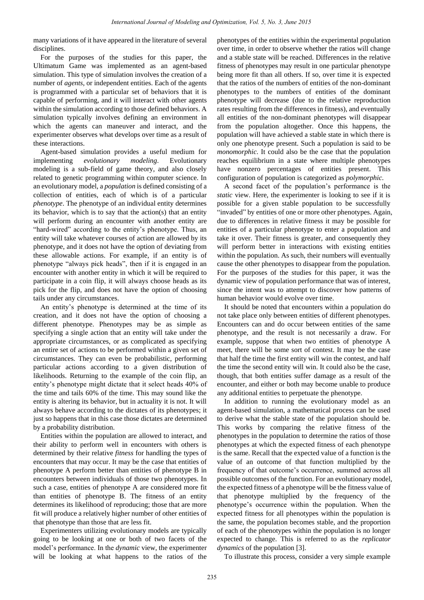many variations of it have appeared in the literature of several disciplines.

For the purposes of the studies for this paper, the Ultimatum Game was implemented as an agent-based simulation. This type of simulation involves the creation of a number of *agents*, or independent entities. Each of the agents is programmed with a particular set of behaviors that it is capable of performing, and it will interact with other agents within the simulation according to those defined behaviors. A simulation typically involves defining an environment in which the agents can maneuver and interact, and the experimenter observes what develops over time as a result of these interactions.

Agent-based simulation provides a useful medium for implementing *evolutionary modeling*. Evolutionary modeling is a sub-field of game theory, and also closely related to genetic programming within computer science. In an evolutionary model, a *population* is defined consisting of a collection of entities, each of which is of a particular *phenotype*. The phenotype of an individual entity determines its behavior, which is to say that the action(s) that an entity will perform during an encounter with another entity are "hard-wired" according to the entity's phenotype. Thus, an entity will take whatever courses of action are allowed by its phenotype, and it does not have the option of deviating from these allowable actions. For example, if an entity is of phenotype "always pick heads", then if it is engaged in an encounter with another entity in which it will be required to participate in a coin flip, it will always choose heads as its pick for the flip, and does not have the option of choosing tails under any circumstances.

An entity's phenotype is determined at the time of its creation, and it does not have the option of choosing a different phenotype. Phenotypes may be as simple as specifying a single action that an entity will take under the appropriate circumstances, or as complicated as specifying an entire set of actions to be performed within a given set of circumstances. They can even be probabilistic, performing particular actions according to a given distribution of likelihoods. Returning to the example of the coin flip, an entity's phenotype might dictate that it select heads 40% of the time and tails 60% of the time. This may sound like the entity is altering its behavior, but in actuality it is not. It will always behave according to the dictates of its phenotypes; it just so happens that in this case those dictates are determined by a probability distribution.

Entities within the population are allowed to interact, and their ability to perform well in encounters with others is determined by their relative *fitness* for handling the types of encounters that may occur. It may be the case that entities of phenotype A perform better than entities of phenotype B in encounters between individuals of those two phenotypes. In such a case, entities of phenotype A are considered more fit than entities of phenotype B. The fitness of an entity determines its likelihood of reproducing; those that are more fit will produce a relatively higher number of other entities of that phenotype than those that are less fit.

Experimenters utilizing evolutionary models are typically going to be looking at one or both of two facets of the model's performance. In the *dynamic* view, the experimenter will be looking at what happens to the ratios of the phenotypes of the entities within the experimental population over time, in order to observe whether the ratios will change and a stable state will be reached. Differences in the relative fitness of phenotypes may result in one particular phenotype being more fit than all others. If so, over time it is expected that the ratios of the numbers of entities of the non-dominant phenotypes to the numbers of entities of the dominant phenotype will decrease (due to the relative reproduction rates resulting from the differences in fitness), and eventually all entities of the non-dominant phenotypes will disappear from the population altogether. Once this happens, the population will have achieved a stable state in which there is only one phenotype present. Such a population is said to be *monomorphic*. It could also be the case that the population reaches equilibrium in a state where multiple phenotypes have nonzero percentages of entities present. This configuration of population is categorized as *polymorphic*.

A second facet of the population's performance is the *static* view. Here, the experimenter is looking to see if it is possible for a given stable population to be successfully "invaded" by entities of one or more other phenotypes. Again, due to differences in relative fitness it may be possible for entities of a particular phenotype to enter a population and take it over. Their fitness is greater, and consequently they will perform better in interactions with existing entities within the population. As such, their numbers will eventually cause the other phenotypes to disappear from the population. For the purposes of the studies for this paper, it was the dynamic view of population performance that was of interest, since the intent was to attempt to discover how patterns of human behavior would evolve over time.

It should be noted that encounters within a population do not take place only between entities of different phenotypes. Encounters can and do occur between entities of the same phenotype, and the result is not necessarily a draw. For example, suppose that when two entities of phenotype A meet, there will be some sort of contest. It may be the case that half the time the first entity will win the contest, and half the time the second entity will win. It could also be the case, though, that both entities suffer damage as a result of the encounter, and either or both may become unable to produce any additional entities to perpetuate the phenotype.

In addition to running the evolutionary model as an agent-based simulation, a mathematical process can be used to derive what the stable state of the population should be. This works by comparing the relative fitness of the phenotypes in the population to determine the ratios of those phenotypes at which the expected fitness of each phenotype is the same. Recall that the expected value of a function is the value of an outcome of that function multiplied by the frequency of that outcome's occurrence, summed across all possible outcomes of the function. For an evolutionary model, the expected fitness of a phenotype will be the fitness value of that phenotype multiplied by the frequency of the phenotype's occurrence within the population. When the expected fitness for all phenotypes within the population is the same, the population becomes stable, and the proportion of each of the phenotypes within the population is no longer expected to change. This is referred to as the *replicator dynamics* of the population [3].

To illustrate this process, consider a very simple example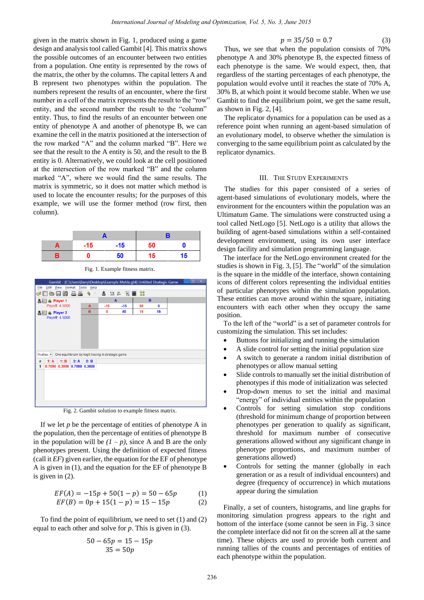given in the matrix shown in Fig. 1, produced using a game design and analysis tool called Gambit [4]. This matrix shows the possible outcomes of an encounter between two entities from a population. One entity is represented by the rows of the matrix, the other by the columns. The capital letters A and B represent two phenotypes within the population. The numbers represent the results of an encounter, where the first number in a cell of the matrix represents the result to the "row" entity, and the second number the result to the "column" entity. Thus, to find the results of an encounter between one entity of phenotype A and another of phenotype B, we can examine the cell in the matrix positioned at the intersection of the row marked "A" and the column marked "B". Here we see that the result to the A entity is 50, and the result to the B entity is 0. Alternatively, we could look at the cell positioned at the intersection of the row marked "B" and the column marked "A", where we would find the same results. The matrix is symmetric, so it does not matter which method is used to locate the encounter results; for the purposes of this example, we will use the former method (row first, then column).



Fig. 1. Example fitness matrix.





<span id="page-2-0"></span>If we let  $p$  be the percentage of entities of phenotype  $A$  in the population, then the percentage of entities of phenotype B in the population will be  $(I - p)$ , since A and B are the only phenotypes present. Using the definition of expected fitness (call it *EF*) given earlier, the equation for the EF of phenotype A is given in (1), and the equation for the EF of phenotype B is given in (2).

$$
EF(A) = -15p + 50(1 - p) = 50 - 65p \tag{1}
$$

$$
EF(B) = 0p + 15(1 - p) = 15 - 15p \tag{2}
$$

To find the point of equilibrium, we need to set (1) and (2) equal to each other and solve for *p*. This is given in (3).

$$
50 - 65p = 15 - 15p
$$

$$
35 = 50p
$$

$$
p = 35/50 = 0.7
$$
 (3)

Thus, we see that when the population consists of 70% phenotype A and 30% phenotype B, the expected fitness of each phenotype is the same. We would expect, then, that regardless of the starting percentages of each phenotype, the population would evolve until it reaches the state of 70% A, 30% B, at which point it would become stable. When we use Gambit to find the equilibrium point, we get the same result, as shown i[n Fig. 2,](#page-2-0) [4].

The replicator dynamics for a population can be used as a reference point when running an agent-based simulation of an evolutionary model, to observe whether the simulation is converging to the same equilibrium point as calculated by the replicator dynamics.

### III. THE STUDY EXPERIMENTS

The studies for this paper consisted of a series of agent-based simulations of evolutionary models, where the environment for the encounters within the population was an Ultimatum Game. The simulations were constructed using a tool called NetLogo [5]. NetLogo is a utility that allows the building of agent-based simulations within a self-contained development environment, using its own user interface design facility and simulation programming language.

The interface for the NetLogo environment created for the studies is shown in Fig. 3, [5]. The "world" of the simulation is the square in the middle of the interface, shown containing icons of different colors representing the individual entities of particular phenotypes within the simulation population. These entities can move around within the square, initiating encounters with each other when they occupy the same position.

To the left of the "world" is a set of parameter controls for customizing the simulation. This set includes:

- Buttons for initializing and running the simulation
- A slide control for setting the initial population size
- A switch to generate a random initial distribution of phenotypes or allow manual setting
- Slide controls to manually set the initial distribution of phenotypes if this mode of initialization was selected
- Drop-down menus to set the initial and maximal "energy" of individual entities within the population
- Controls for setting simulation stop conditions (threshold for minimum change of proportion between phenotypes per generation to qualify as significant, threshold for maximum number of consecutive generations allowed without any significant change in phenotype proportions, and maximum number of generations allowed)
- Controls for setting the manner (globally in each generation or as a result of individual encounters) and degree (frequency of occurrence) in which mutations appear during the simulation

Finally, a set of counters, histograms, and line graphs for monitoring simulation progress appears to the right and bottom of the interface (some cannot be seen in Fig. 3 since the complete interface did not fit on the screen all at the same time). These objects are used to provide both current and running tallies of the counts and percentages of entities of each phenotype within the population.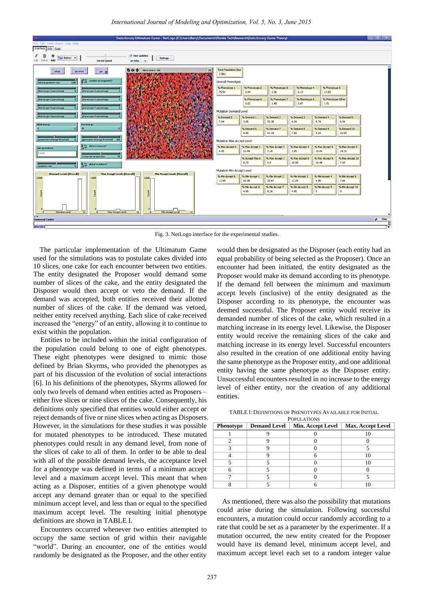

Fig. 3. NetLogo interface for the experimental studies.

The particular implementation of the Ultimatum Game used for the simulations was to postulate cakes divided into 10 slices, one cake for each encounter between two entities. The entity designated the Proposer would demand some number of slices of the cake, and the entity designated the Disposer would then accept or veto the demand. If the demand was accepted, both entities received their allotted number of slices of the cake. If the demand was vetoed, neither entity received anything. Each slice of cake received increased the "energy" of an entity, allowing it to continue to exist within the population.

Entities to be included within the initial configuration of the population could belong to one of eight phenotypes. These eight phenotypes were designed to mimic those defined by Brian Skyrms, who provided the phenotypes as part of his discussion of the evolution of social interactions [6]. In his definitions of the phenotypes, Skyrms allowed for only two levels of demand when entities acted as Proposers – either five slices or nine slices of the cake. Consequently, his definitions only specified that entities would either accept or reject demands of five or nine slices when acting as Disposers. However, in the simulations for these studies it was possible for mutated phenotypes to be introduced. These mutated phenotypes could result in any demand level, from none of the slices of cake to all of them. In order to be able to deal with all of the possible demand levels, the acceptance level for a phenotype was defined in terms of a minimum accept level and a maximum accept level. This meant that when acting as a Disposer, entities of a given phenotype would accept any demand greater than or equal to the specified minimum accept level, and less than or equal to the specified maximum accept level. The resulting initial phenotype definitions are shown i[n TABLE I.](#page-3-0)

Encounters occurred whenever two entities attempted to occupy the same section of grid within their navigable "world". During an encounter, one of the entities would randomly be designated as the Proposer, and the other entity

would then be designated as the Disposer (each entity had an equal probability of being selected as the Proposer). Once an encounter had been initiated, the entity designated as the Proposer would make its demand according to its phenotype. If the demand fell between the minimum and maximum accept levels (inclusive) of the entity designated as the Disposer according to its phenotype, the encounter was deemed successful. The Proposer entity would receive its demanded number of slices of the cake, which resulted in a matching increase in its energy level. Likewise, the Disposer entity would receive the remaining slices of the cake and matching increase in its energy level. Successful encounters also resulted in the creation of one additional entity having the same phenotype as the Proposer entity, and one additional entity having the same phenotype as the Disposer entity. Unsuccessful encounters resulted in no increase to the energy level of either entity, nor the creation of any additional entities.

TABLE I: DEFINITIONS OF PHENOTYPES AVAILABLE FOR INITIAL POPUL ATIONS

<span id="page-3-0"></span>

| Phenotype | <b>Demand Level</b> | <b>Min. Accept Level</b> | <b>Max. Accept Level</b> |
|-----------|---------------------|--------------------------|--------------------------|
|           |                     |                          |                          |
|           |                     |                          |                          |
|           |                     |                          |                          |
|           |                     |                          |                          |
|           |                     |                          |                          |
|           |                     |                          |                          |
|           |                     |                          |                          |
|           |                     |                          |                          |

As mentioned, there was also the possibility that mutations could arise during the simulation. Following successful encounters, a mutation could occur randomly according to a rate that could be set as a parameter by the experimenter. If a mutation occurred, the new entity created for the Proposer would have its demand level, minimum accept level, and maximum accept level each set to a random integer value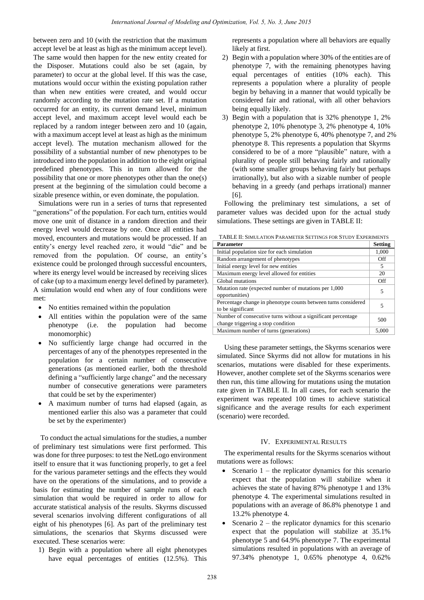between zero and 10 (with the restriction that the maximum accept level be at least as high as the minimum accept level). The same would then happen for the new entity created for the Disposer. Mutations could also be set (again, by parameter) to occur at the global level. If this was the case, mutations would occur within the existing population rather than when new entities were created, and would occur randomly according to the mutation rate set. If a mutation occurred for an entity, its current demand level, minimum accept level, and maximum accept level would each be replaced by a random integer between zero and 10 (again, with a maximum accept level at least as high as the minimum accept level). The mutation mechanism allowed for the possibility of a substantial number of new phenotypes to be introduced into the population in addition to the eight original predefined phenotypes. This in turn allowed for the possibility that one or more phenotypes other than the one(s) present at the beginning of the simulation could become a sizable presence within, or even dominate, the population.

Simulations were run in a series of turns that represented "generations" of the population. For each turn, entities would move one unit of distance in a random direction and their energy level would decrease by one. Once all entities had moved, encounters and mutations would be processed. If an entity's energy level reached zero, it would "die" and be removed from the population. Of course, an entity's existence could be prolonged through successful encounters, where its energy level would be increased by receiving slices of cake (up to a maximum energy level defined by parameter). A simulation would end when any of four conditions were met:

- No entities remained within the population
- All entities within the population were of the same phenotype (i.e. the population had become monomorphic)
- No sufficiently large change had occurred in the percentages of any of the phenotypes represented in the population for a certain number of consecutive generations (as mentioned earlier, both the threshold defining a "sufficiently large change" and the necessary number of consecutive generations were parameters that could be set by the experimenter)
- A maximum number of turns had elapsed (again, as mentioned earlier this also was a parameter that could be set by the experimenter)

To conduct the actual simulations for the studies, a number of preliminary test simulations were first performed. This was done for three purposes: to test the NetLogo environment itself to ensure that it was functioning properly, to get a feel for the various parameter settings and the effects they would have on the operations of the simulations, and to provide a basis for estimating the number of sample runs of each simulation that would be required in order to allow for accurate statistical analysis of the results. Skyrms discussed several scenarios involving different configurations of all eight of his phenotypes [6]. As part of the preliminary test simulations, the scenarios that Skyrms discussed were executed. These scenarios were:

1) Begin with a population where all eight phenotypes have equal percentages of entities (12.5%). This represents a population where all behaviors are equally likely at first.

- 2) Begin with a population where 30% of the entities are of phenotype 7, with the remaining phenotypes having equal percentages of entities (10% each). This represents a population where a plurality of people begin by behaving in a manner that would typically be considered fair and rational, with all other behaviors being equally likely.
- 3) Begin with a population that is 32% phenotype 1, 2% phenotype 2, 10% phenotype 3, 2% phenotype 4, 10% phenotype 5, 2% phenotype 6, 40% phenotype 7, and 2% phenotype 8. This represents a population that Skyrms considered to be of a more "plausible" nature, with a plurality of people still behaving fairly and rationally (with some smaller groups behaving fairly but perhaps irrationally), but also with a sizable number of people behaving in a greedy (and perhaps irrational) manner [6].

Following the preliminary test simulations, a set of parameter values was decided upon for the actual study simulations. These settings are given in [TABLE II:](#page-4-0)

<span id="page-4-0"></span>TABLE II: SIMULATION PARAMETER SETTINGS FOR STUDY EXPERIMENTS

| <b>Parameter</b>                                                                                   |  |  |
|----------------------------------------------------------------------------------------------------|--|--|
| Initial population size for each simulation                                                        |  |  |
| Random arrangement of phenotypes                                                                   |  |  |
| Initial energy level for new entities                                                              |  |  |
| Maximum energy level allowed for entities                                                          |  |  |
| Global mutations                                                                                   |  |  |
| Mutation rate (expected number of mutations per 1,000)<br>opportunities)                           |  |  |
| Percentage change in phenotype counts between turns considered<br>to be significant                |  |  |
| Number of consecutive turns without a significant percentage<br>change triggering a stop condition |  |  |
| Maximum number of turns (generations)                                                              |  |  |

Using these parameter settings, the Skyrms scenarios were simulated. Since Skyrms did not allow for mutations in his scenarios, mutations were disabled for these experiments. However, another complete set of the Skyrms scenarios were then run, this time allowing for mutations using the mutation rate given in [TABLE II.](#page-4-0) In all cases, for each scenario the experiment was repeated 100 times to achieve statistical significance and the average results for each experiment (scenario) were recorded.

## IV. EXPERIMENTAL RESULTS

The experimental results for the Skyrms scenarios without mutations were as follows:

- Scenario 1 the replicator dynamics for this scenario expect that the population will stabilize when it achieves the state of having 87% phenotype 1 and 13% phenotype 4. The experimental simulations resulted in populations with an average of 86.8% phenotype 1 and 13.2% phenotype 4.
- Scenario 2 the replicator dynamics for this scenario expect that the population will stabilize at 35.1% phenotype 5 and 64.9% phenotype 7. The experimental simulations resulted in populations with an average of 97.34% phenotype 1, 0.65% phenotype 4, 0.62%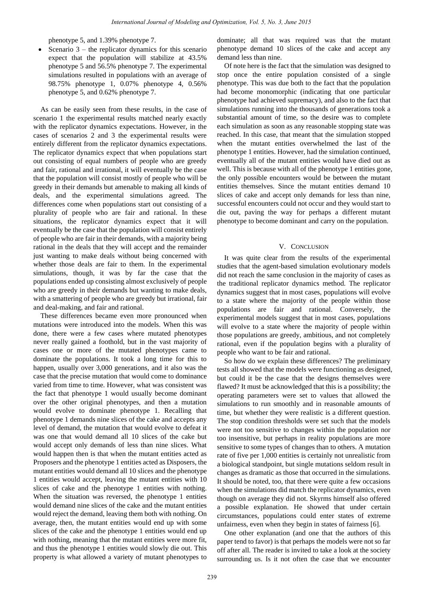phenotype 5, and 1.39% phenotype 7.

 Scenario 3 – the replicator dynamics for this scenario expect that the population will stabilize at 43.5% phenotype 5 and 56.5% phenotype 7. The experimental simulations resulted in populations with an average of 98.75% phenotype 1, 0.07% phenotype 4, 0.56% phenotype 5, and 0.62% phenotype 7.

As can be easily seen from these results, in the case of scenario 1 the experimental results matched nearly exactly with the replicator dynamics expectations. However, in the cases of scenarios 2 and 3 the experimental results were entirely different from the replicator dynamics expectations. The replicator dynamics expect that when populations start out consisting of equal numbers of people who are greedy and fair, rational and irrational, it will eventually be the case that the population will consist mostly of people who will be greedy in their demands but amenable to making all kinds of deals, and the experimental simulations agreed. The differences come when populations start out consisting of a plurality of people who are fair and rational. In these situations, the replicator dynamics expect that it will eventually be the case that the population will consist entirely of people who are fair in their demands, with a majority being rational in the deals that they will accept and the remainder just wanting to make deals without being concerned with whether those deals are fair to them. In the experimental simulations, though, it was by far the case that the populations ended up consisting almost exclusively of people who are greedy in their demands but wanting to make deals, with a smattering of people who are greedy but irrational, fair and deal-making, and fair and rational.

These differences became even more pronounced when mutations were introduced into the models. When this was done, there were a few cases where mutated phenotypes never really gained a foothold, but in the vast majority of cases one or more of the mutated phenotypes came to dominate the populations. It took a long time for this to happen, usually over 3,000 generations, and it also was the case that the precise mutation that would come to dominance varied from time to time. However, what was consistent was the fact that phenotype 1 would usually become dominant over the other original phenotypes, and then a mutation would evolve to dominate phenotype 1. Recalling that phenotype 1 demands nine slices of the cake and accepts any level of demand, the mutation that would evolve to defeat it was one that would demand all 10 slices of the cake but would accept only demands of less than nine slices. What would happen then is that when the mutant entities acted as Proposers and the phenotype 1 entities acted as Disposers, the mutant entities would demand all 10 slices and the phenotype 1 entities would accept, leaving the mutant entities with 10 slices of cake and the phenotype 1 entities with nothing. When the situation was reversed, the phenotype 1 entities would demand nine slices of the cake and the mutant entities would reject the demand, leaving them both with nothing. On average, then, the mutant entities would end up with some slices of the cake and the phenotype 1 entities would end up with nothing, meaning that the mutant entities were more fit, and thus the phenotype 1 entities would slowly die out. This property is what allowed a variety of mutant phenotypes to dominate; all that was required was that the mutant phenotype demand 10 slices of the cake and accept any demand less than nine.

Of note here is the fact that the simulation was designed to stop once the entire population consisted of a single phenotype. This was due both to the fact that the population had become monomorphic (indicating that one particular phenotype had achieved supremacy), and also to the fact that simulations running into the thousands of generations took a substantial amount of time, so the desire was to complete each simulation as soon as any reasonable stopping state was reached. In this case, that meant that the simulation stopped when the mutant entities overwhelmed the last of the phenotype 1 entities. However, had the simulation continued, eventually all of the mutant entities would have died out as well. This is because with all of the phenotype 1 entities gone, the only possible encounters would be between the mutant entities themselves. Since the mutant entities demand 10 slices of cake and accept only demands for less than nine, successful encounters could not occur and they would start to die out, paving the way for perhaps a different mutant phenotype to become dominant and carry on the population.

## V. CONCLUSION

It was quite clear from the results of the experimental studies that the agent-based simulation evolutionary models did not reach the same conclusion in the majority of cases as the traditional replicator dynamics method. The replicator dynamics suggest that in most cases, populations will evolve to a state where the majority of the people within those populations are fair and rational. Conversely, the experimental models suggest that in most cases, populations will evolve to a state where the majority of people within those populations are greedy, ambitious, and not completely rational, even if the population begins with a plurality of people who want to be fair and rational.

So how do we explain these differences? The preliminary tests all showed that the models were functioning as designed, but could it be the case that the designs themselves were flawed? It must be acknowledged that this is a possibility; the operating parameters were set to values that allowed the simulations to run smoothly and in reasonable amounts of time, but whether they were realistic is a different question. The stop condition thresholds were set such that the models were not too sensitive to changes within the population nor too insensitive, but perhaps in reality populations are more sensitive to some types of changes than to others. A mutation rate of five per 1,000 entities is certainly not unrealistic from a biological standpoint, but single mutations seldom result in changes as dramatic as those that occurred in the simulations. It should be noted, too, that there were quite a few occasions when the simulations did match the replicator dynamics, even though on average they did not. Skyrms himself also offered a possible explanation. He showed that under certain circumstances, populations could enter states of extreme unfairness, even when they begin in states of fairness [6].

One other explanation (and one that the authors of this paper tend to favor) is that perhaps the models were not so far off after all. The reader is invited to take a look at the society surrounding us. Is it not often the case that we encounter